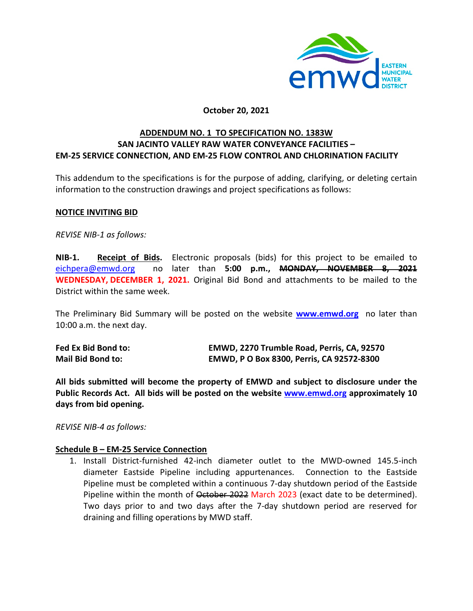

# **October 20, 2021**

# **ADDENDUM NO. 1 TO SPECIFICATION NO. 1383W SAN JACINTO VALLEY RAW WATER CONVEYANCE FACILITIES – EM-25 SERVICE CONNECTION, AND EM-25 FLOW CONTROL AND CHLORINATION FACILITY**

This addendum to the specifications is for the purpose of adding, clarifying, or deleting certain information to the construction drawings and project specifications as follows:

## **NOTICE INVITING BID**

*REVISE NIB-1 as follows:*

**NIB-1. Receipt of Bids.** Electronic proposals (bids) for this project to be emailed to [eichpera@emwd.org](mailto:eichpera@emwd.org) no later than **5:00 p.m., MONDAY, NOVEMBER 8, 2021 WEDNESDAY, DECEMBER 1, 2021.** Original Bid Bond and attachments to be mailed to the District within the same week.

The Preliminary Bid Summary will be posted on the website **[www.emwd.org](http://www.emwd.org/)** no later than 10:00 a.m. the next day.

| Fed Ex Bid Bond to:      | EMWD, 2270 Trumble Road, Perris, CA, 92570 |
|--------------------------|--------------------------------------------|
| <b>Mail Bid Bond to:</b> | EMWD, P O Box 8300, Perris, CA 92572-8300  |

**All bids submitted will become the property of EMWD and subject to disclosure under the Public Records Act. All bids will be posted on the website [www.emwd.org](http://www.emwd.org/) approximately 10 days from bid opening.**

*REVISE NIB-4 as follows:* 

# **Schedule B – EM-25 Service Connection**

1. Install District-furnished 42-inch diameter outlet to the MWD-owned 145.5-inch diameter Eastside Pipeline including appurtenances. Connection to the Eastside Pipeline must be completed within a continuous 7-day shutdown period of the Eastside Pipeline within the month of October 2022 March 2023 (exact date to be determined). Two days prior to and two days after the 7-day shutdown period are reserved for draining and filling operations by MWD staff.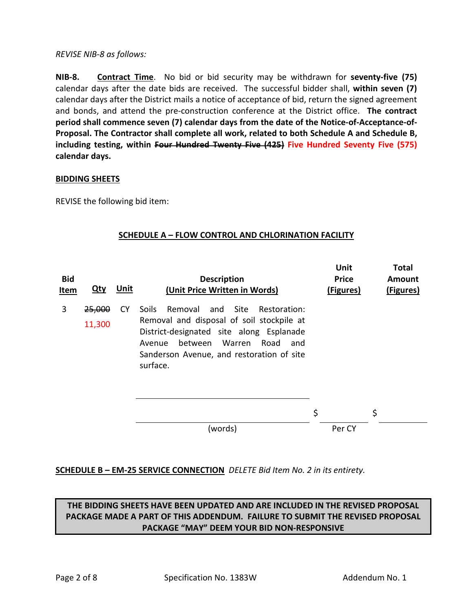*REVISE NIB-8 as follows:* 

**NIB-8. Contract Time**. No bid or bid security may be withdrawn for **seventy-five (75)** calendar days after the date bids are received. The successful bidder shall, **within seven (7)** calendar days after the District mails a notice of acceptance of bid, return the signed agreement and bonds, and attend the pre-construction conference at the District office. **The contract period shall commence seven (7) calendar days from the date of the Notice-of-Acceptance-of-Proposal. The Contractor shall complete all work, related to both Schedule A and Schedule B, including testing, within Four Hundred Twenty Five (425) Five Hundred Seventy Five (575) calendar days.**

## **BIDDING SHEETS**

REVISE the following bid item:

# **SCHEDULE A – FLOW CONTROL AND CHLORINATION FACILITY**

| <b>Bid</b><br>Item | <u>Qty</u>       | <u>Unit</u> | <b>Description</b><br>(Unit Price Written in Words)                                                                                                                                                                                           | Unit<br><b>Price</b><br>(Figures) | <b>Total</b><br>Amount<br>(Figures) |
|--------------------|------------------|-------------|-----------------------------------------------------------------------------------------------------------------------------------------------------------------------------------------------------------------------------------------------|-----------------------------------|-------------------------------------|
| 3                  | 25,000<br>11,300 | <b>CY</b>   | Removal and Site Restoration:<br><b>Soils</b><br>Removal and disposal of soil stockpile at<br>District-designated site along Esplanade<br>Warren<br>Road<br>between<br>and<br>Avenue<br>Sanderson Avenue, and restoration of site<br>surface. |                                   |                                     |
|                    |                  |             |                                                                                                                                                                                                                                               | \$                                | \$                                  |
|                    |                  |             | (words)                                                                                                                                                                                                                                       | Per CY                            |                                     |

# **SCHEDULE B – EM-25 SERVICE CONNECTION** *DELETE Bid Item No. 2 in its entirety.*

# **THE BIDDING SHEETS HAVE BEEN UPDATED AND ARE INCLUDED IN THE REVISED PROPOSAL PACKAGE MADE A PART OF THIS ADDENDUM. FAILURE TO SUBMIT THE REVISED PROPOSAL PACKAGE "MAY" DEEM YOUR BID NON-RESPONSIVE**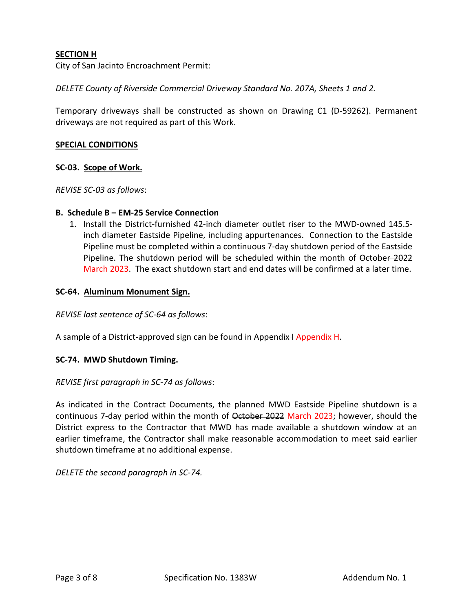# **SECTION H**

City of San Jacinto Encroachment Permit:

*DELETE County of Riverside Commercial Driveway Standard No. 207A, Sheets 1 and 2.*

Temporary driveways shall be constructed as shown on Drawing C1 (D-59262). Permanent driveways are not required as part of this Work.

### **SPECIAL CONDITIONS**

## **SC-03. Scope of Work.**

*REVISE SC-03 as follows*:

### **B. Schedule B – EM-25 Service Connection**

1. Install the District-furnished 42-inch diameter outlet riser to the MWD-owned 145.5 inch diameter Eastside Pipeline, including appurtenances. Connection to the Eastside Pipeline must be completed within a continuous 7-day shutdown period of the Eastside Pipeline. The shutdown period will be scheduled within the month of October 2022 March 2023. The exact shutdown start and end dates will be confirmed at a later time.

## **SC-64. Aluminum Monument Sign.**

*REVISE last sentence of SC-64 as follows*:

A sample of a District-approved sign can be found in Appendix I Appendix H.

### **SC-74. MWD Shutdown Timing.**

### *REVISE first paragraph in SC-74 as follows*:

As indicated in the Contract Documents, the planned MWD Eastside Pipeline shutdown is a continuous 7-day period within the month of October 2022 March 2023; however, should the District express to the Contractor that MWD has made available a shutdown window at an earlier timeframe, the Contractor shall make reasonable accommodation to meet said earlier shutdown timeframe at no additional expense.

*DELETE the second paragraph in SC-74.*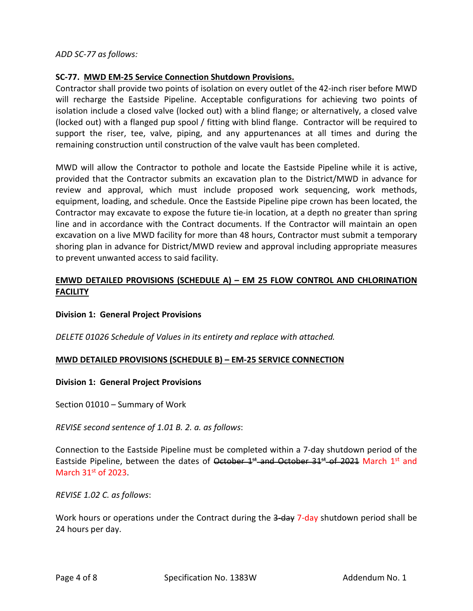## *ADD SC-77 as follows:*

# **SC-77. MWD EM-25 Service Connection Shutdown Provisions.**

Contractor shall provide two points of isolation on every outlet of the 42-inch riser before MWD will recharge the Eastside Pipeline. Acceptable configurations for achieving two points of isolation include a closed valve (locked out) with a blind flange; or alternatively, a closed valve (locked out) with a flanged pup spool / fitting with blind flange. Contractor will be required to support the riser, tee, valve, piping, and any appurtenances at all times and during the remaining construction until construction of the valve vault has been completed.

MWD will allow the Contractor to pothole and locate the Eastside Pipeline while it is active, provided that the Contractor submits an excavation plan to the District/MWD in advance for review and approval, which must include proposed work sequencing, work methods, equipment, loading, and schedule. Once the Eastside Pipeline pipe crown has been located, the Contractor may excavate to expose the future tie-in location, at a depth no greater than spring line and in accordance with the Contract documents. If the Contractor will maintain an open excavation on a live MWD facility for more than 48 hours, Contractor must submit a temporary shoring plan in advance for District/MWD review and approval including appropriate measures to prevent unwanted access to said facility.

# **EMWD DETAILED PROVISIONS (SCHEDULE A) – EM 25 FLOW CONTROL AND CHLORINATION FACILITY**

# **Division 1: General Project Provisions**

*DELETE 01026 Schedule of Values in its entirety and replace with attached.*

# **MWD DETAILED PROVISIONS (SCHEDULE B) – EM-25 SERVICE CONNECTION**

### **Division 1: General Project Provisions**

Section 01010 – Summary of Work

*REVISE second sentence of 1.01 B. 2. a. as follows*:

Connection to the Eastside Pipeline must be completed within a 7-day shutdown period of the Eastside Pipeline, between the dates of  $\theta$ ctober  $1^{st}$  and October 31<sup>st</sup> of 2021 March 1st and March  $31<sup>st</sup>$  of 2023.

*REVISE 1.02 C. as follows*:

Work hours or operations under the Contract during the 3-day 7-day shutdown period shall be 24 hours per day.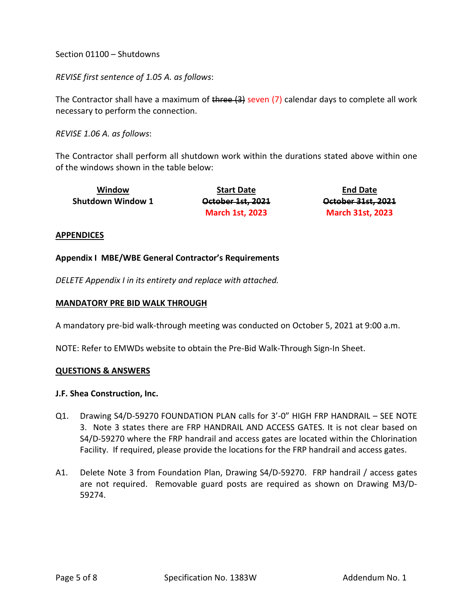Section 01100 – Shutdowns

*REVISE first sentence of 1.05 A. as follows*:

The Contractor shall have a maximum of three (3) seven (7) calendar days to complete all work necessary to perform the connection.

*REVISE 1.06 A. as follows*:

The Contractor shall perform all shutdown work within the durations stated above within one of the windows shown in the table below:

| Window                   | <b>Start Date</b>      | <b>End Date</b>         |
|--------------------------|------------------------|-------------------------|
| <b>Shutdown Window 1</b> | October 1st, 2021      | October 31st, 2021      |
|                          | <b>March 1st, 2023</b> | <b>March 31st, 2023</b> |

## **APPENDICES**

### **Appendix I MBE/WBE General Contractor's Requirements**

*DELETE Appendix I in its entirety and replace with attached.*

## **MANDATORY PRE BID WALK THROUGH**

A mandatory pre-bid walk-through meeting was conducted on October 5, 2021 at 9:00 a.m.

NOTE: Refer to EMWDs website to obtain the Pre-Bid Walk-Through Sign-In Sheet.

### **QUESTIONS & ANSWERS**

### **J.F. Shea Construction, Inc.**

- Q1. Drawing S4/D-59270 FOUNDATION PLAN calls for 3'-0" HIGH FRP HANDRAIL SEE NOTE 3. Note 3 states there are FRP HANDRAIL AND ACCESS GATES. It is not clear based on S4/D-59270 where the FRP handrail and access gates are located within the Chlorination Facility. If required, please provide the locations for the FRP handrail and access gates.
- A1. Delete Note 3 from Foundation Plan, Drawing S4/D-59270. FRP handrail / access gates are not required. Removable guard posts are required as shown on Drawing M3/D-59274.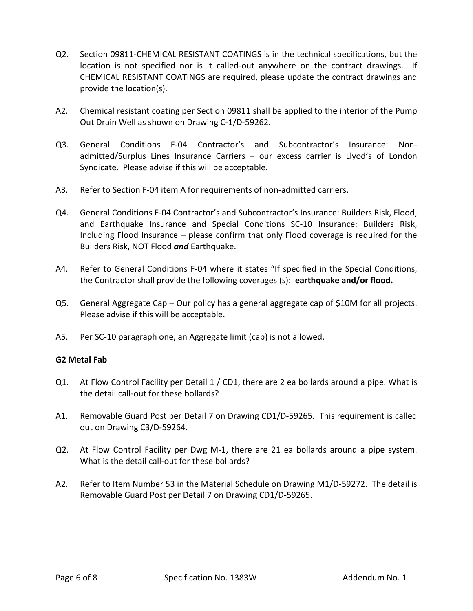- Q2. Section 09811-CHEMICAL RESISTANT COATINGS is in the technical specifications, but the location is not specified nor is it called-out anywhere on the contract drawings. If CHEMICAL RESISTANT COATINGS are required, please update the contract drawings and provide the location(s).
- A2. Chemical resistant coating per Section 09811 shall be applied to the interior of the Pump Out Drain Well as shown on Drawing C-1/D-59262.
- Q3. General Conditions F-04 Contractor's and Subcontractor's Insurance: Nonadmitted/Surplus Lines Insurance Carriers – our excess carrier is Llyod's of London Syndicate. Please advise if this will be acceptable.
- A3. Refer to Section F-04 item A for requirements of non-admitted carriers.
- Q4. General Conditions F-04 Contractor's and Subcontractor's Insurance: Builders Risk, Flood, and Earthquake Insurance and Special Conditions SC-10 Insurance: Builders Risk, Including Flood Insurance – please confirm that only Flood coverage is required for the Builders Risk, NOT Flood *and* Earthquake.
- A4. Refer to General Conditions F-04 where it states "If specified in the Special Conditions, the Contractor shall provide the following coverages (s): **earthquake and/or flood.**
- Q5. General Aggregate Cap Our policy has a general aggregate cap of \$10M for all projects. Please advise if this will be acceptable.
- A5. Per SC-10 paragraph one, an Aggregate limit (cap) is not allowed.

# **G2 Metal Fab**

- Q1. At Flow Control Facility per Detail 1 / CD1, there are 2 ea bollards around a pipe. What is the detail call-out for these bollards?
- A1. Removable Guard Post per Detail 7 on Drawing CD1/D-59265. This requirement is called out on Drawing C3/D-59264.
- Q2. At Flow Control Facility per Dwg M-1, there are 21 ea bollards around a pipe system. What is the detail call-out for these bollards?
- A2. Refer to Item Number 53 in the Material Schedule on Drawing M1/D-59272. The detail is Removable Guard Post per Detail 7 on Drawing CD1/D-59265.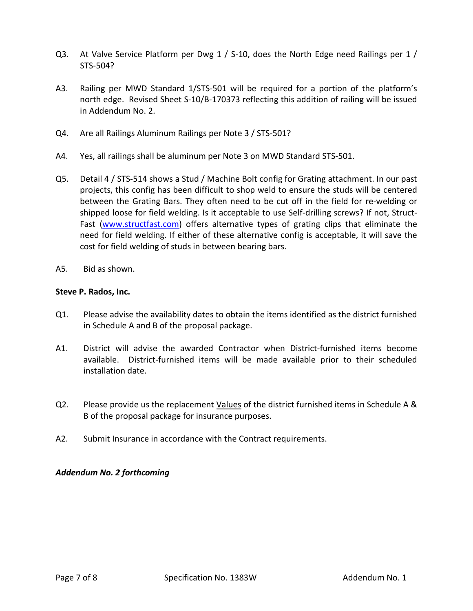- Q3. At Valve Service Platform per Dwg 1 / S-10, does the North Edge need Railings per 1 / STS-504?
- A3. Railing per MWD Standard 1/STS-501 will be required for a portion of the platform's north edge. Revised Sheet S-10/B-170373 reflecting this addition of railing will be issued in Addendum No. 2.
- Q4. Are all Railings Aluminum Railings per Note 3 / STS-501?
- A4. Yes, all railings shall be aluminum per Note 3 on MWD Standard STS-501.
- Q5. Detail 4 / STS-514 shows a Stud / Machine Bolt config for Grating attachment. In our past projects, this config has been difficult to shop weld to ensure the studs will be centered between the Grating Bars. They often need to be cut off in the field for re-welding or shipped loose for field welding. Is it acceptable to use Self-drilling screws? If not, Struct-Fast [\(www.structfast.com\)](http://www.structfast.com/) offers alternative types of grating clips that eliminate the need for field welding. If either of these alternative config is acceptable, it will save the cost for field welding of studs in between bearing bars.
- A5. Bid as shown.

# **Steve P. Rados, Inc.**

- Q1. Please advise the availability dates to obtain the items identified as the district furnished in Schedule A and B of the proposal package.
- A1. District will advise the awarded Contractor when District-furnished items become available. District-furnished items will be made available prior to their scheduled installation date.
- Q2. Please provide us the replacement Values of the district furnished items in Schedule A & B of the proposal package for insurance purposes.
- A2. Submit Insurance in accordance with the Contract requirements.

# *Addendum No. 2 forthcoming*